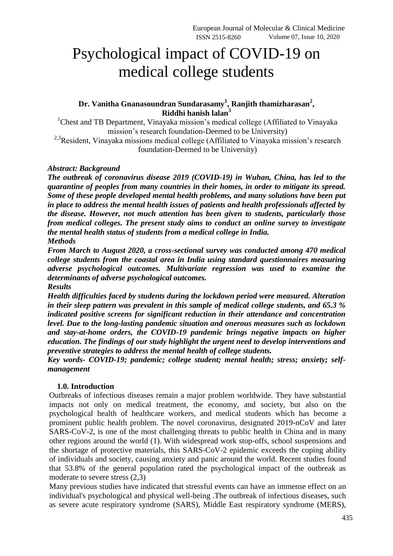# Psychological impact of COVID-19 on medical college students

# **Dr. Vanitha Gnanasoundran Sundarasamy<sup>1</sup> , Ranjith thamizharasan<sup>2</sup> , Riddhi hanish lalan<sup>3</sup>**

<sup>1</sup>Chest and TB Department, Vinayaka mission's medical college (Affiliated to Vinayaka mission's research foundation-Deemed to be University)

<sup>2,3</sup>Resident, Vinayaka missions medical college (Affiliated to Vinayaka mission's research foundation-Deemed to be University)

# *Abstract: Background*

*The outbreak of coronavirus disease 2019 (COVID-19) in Wuhan, China, has led to the quarantine of peoples from many countries in their homes, in order to mitigate its spread. Some of these people developed mental health problems, and many solutions have been put in place to address the mental health issues of patients and health professionals affected by the disease. However, not much attention has been given to students, particularly those from medical colleges. The present study aims to conduct an online survey to investigate the mental health status of students from a medical college in India.*

# *Methods*

*From March to August 2020, a cross-sectional survey was conducted among 470 medical college students from the coastal area in India using standard questionnaires measuring adverse psychological outcomes. Multivariate regression was used to examine the determinants of adverse psychological outcomes.*

### *Results*

*Health difficulties faced by students during the lockdown period were measured. Alteration in their sleep pattern was prevalent in this sample of medical college students, and 65.3 % indicated positive screens for significant reduction in their attendance and concentration level. Due to the long-lasting pandemic situation and onerous measures such as lockdown and stay-at-home orders, the COVID-19 pandemic brings negative impacts on higher education. The findings of our study highlight the urgent need to develop interventions and preventive strategies to address the mental health of college students.*

*Key words- COVID-19; pandemic; college student; mental health; stress; anxiety; selfmanagement*

# **1.0. Introduction**

Outbreaks of infectious diseases remain a major problem worldwide. They have substantial impacts not only on medical treatment, the economy, and society, but also on the psychological health of healthcare workers, and medical students which has become a prominent public health problem. The novel coronavirus, designated 2019-nCoV and later SARS-CoV-2, is one of the most challenging threats to public health in China and in many other regions around the world (1). With widespread work stop-offs, school suspensions and the shortage of protective materials, this SARS-CoV-2 epidemic exceeds the coping ability of individuals and society, causing anxiety and panic around the world. Recent studies found that 53.8% of the general population rated the psychological impact of the outbreak as moderate to severe stress (2,3)

Many previous studies have indicated that stressful events can have an immense effect on an individual's psychological and physical well-being .The outbreak of infectious diseases, such as severe acute respiratory syndrome (SARS), Middle East respiratory syndrome (MERS),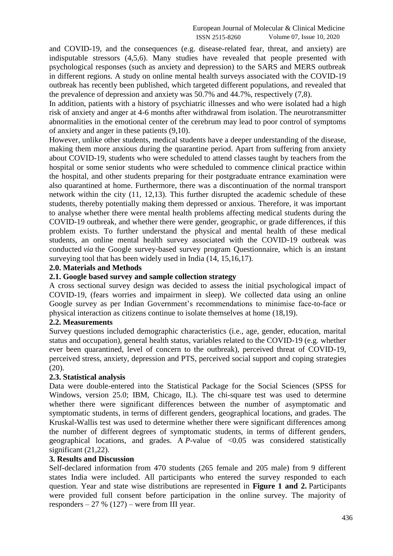and COVID-19, and the consequences (e.g. disease-related fear, threat, and anxiety) are indisputable stressors (4,5,6). Many studies have revealed that people presented with psychological responses (such as anxiety and depression) to the SARS and MERS outbreak in different regions. A study on online mental health surveys associated with the COVID-19 outbreak has recently been published, which targeted different populations, and revealed that the prevalence of depression and anxiety was 50.7% and 44.7%, respectively (7,8).

In addition, patients with a history of psychiatric illnesses and who were isolated had a high risk of anxiety and anger at 4-6 months after withdrawal from isolation. The neurotransmitter abnormalities in the emotional center of the cerebrum may lead to poor control of symptoms of anxiety and anger in these patients (9,10).

However, unlike other students, medical students have a deeper understanding of the disease, making them more anxious during the quarantine period. Apart from suffering from anxiety about COVID-19, students who were scheduled to attend classes taught by teachers from the hospital or some senior students who were scheduled to commence clinical practice within the hospital, and other students preparing for their postgraduate entrance examination were also quarantined at home. Furthermore, there was a discontinuation of the normal transport network within the city (11, 12,13). This further disrupted the academic schedule of these students, thereby potentially making them depressed or anxious. Therefore, it was important to analyse whether there were mental health problems affecting medical students during the COVID-19 outbreak, and whether there were gender, geographic, or grade differences, if this problem exists. To further understand the physical and mental health of these medical students, an online mental health survey associated with the COVID-19 outbreak was conducted *via* the Google survey-based survey program Questionnaire, which is an instant surveying tool that has been widely used in India (14, 15,16,17).

### **2.0. Materials and Methods**

## **2.1. Google based survey and sample collection strategy**

A cross sectional survey design was decided to assess the initial psychological impact of COVID-19, (fears worries and impairment in sleep). We collected data using an online Google survey as per Indian Government's recommendations to minimise face-to-face or physical interaction as citizens continue to isolate themselves at home (18,19).

### **2.2. Measurements**

Survey questions included demographic characteristics (i.e., age, gender, education, marital status and occupation), general health status, variables related to the COVID-19 (e.g. whether ever been quarantined, level of concern to the outbreak), perceived threat of COVID-19, perceived stress, anxiety, depression and PTS, perceived social support and coping strategies (20).

### **2.3. Statistical analysis**

Data were double-entered into the Statistical Package for the Social Sciences (SPSS for Windows, version 25.0; IBM, Chicago, IL). The chi-square test was used to determine whether there were significant differences between the number of asymptomatic and symptomatic students, in terms of different genders, geographical locations, and grades. The Kruskal-Wallis test was used to determine whether there were significant differences among the number of different degrees of symptomatic students, in terms of different genders, geographical locations, and grades. A *P*-value of <0.05 was considered statistically significant (21,22).

## **3. Results and Discussion**

Self-declared information from 470 students (265 female and 205 male) from 9 different states India were included. All participants who entered the survey responded to each question. Year and state wise distributions are represented in **Figure 1 and 2.** Participants were provided full consent before participation in the online survey. The majority of responders  $-27$  % (127) – were from III year.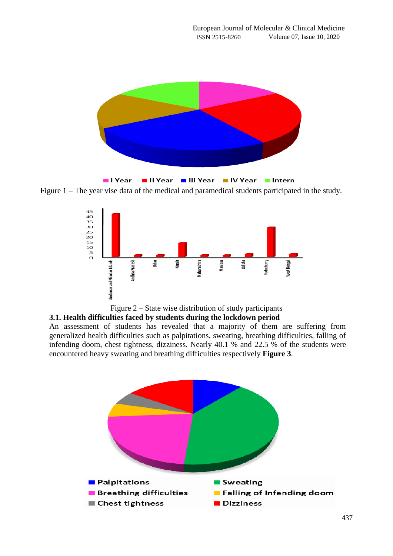

I Year Il Year III Year IV Year Intern Figure 1 – The year vise data of the medical and paramedical students participated in the study.





An assessment of students has revealed that a majority of them are suffering from generalized health difficulties such as palpitations, sweating, breathing difficulties, falling of infending doom, chest tightness, dizziness. Nearly 40.1 % and 22.5 % of the students were encountered heavy sweating and breathing difficulties respectively **Figure 3**.

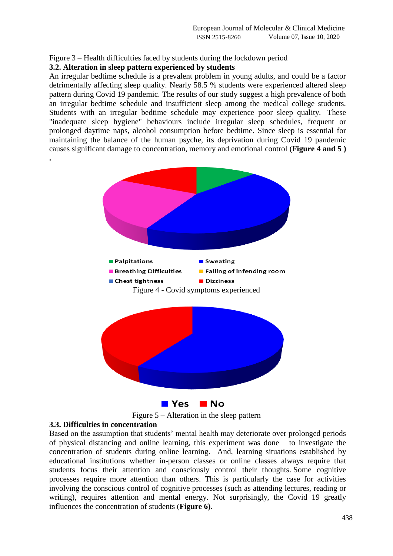Figure 3 – Health difficulties faced by students during the lockdown period

# **3.2. Alteration in sleep pattern experienced by students**

An irregular bedtime schedule is a prevalent problem in young adults, and could be a factor detrimentally affecting sleep quality. Nearly 58.5 % students were experienced altered sleep pattern during Covid 19 pandemic. The results of our study suggest a high prevalence of both an irregular bedtime schedule and insufficient sleep among the medical college students. Students with an irregular bedtime schedule may experience poor sleep quality. These "inadequate sleep hygiene" behaviours include irregular sleep schedules, frequent or prolonged daytime naps, alcohol consumption before bedtime. Since sleep is essential for maintaining the balance of the human psyche, its deprivation during Covid 19 pandemic causes significant damage to concentration, memory and emotional control (**Figure 4 and 5 )**



Figure 5 – Alteration in the sleep pattern

# **3.3. Difficulties in concentration**

**.**

Based on the assumption that students' mental health may deteriorate over prolonged periods of physical distancing and online learning, this experiment was done to investigate the concentration of students during online learning. And, learning situations established by educational institutions whether in-person classes or online classes always require that students focus their attention and consciously control their thoughts. Some cognitive processes require more attention than others. This is particularly the case for activities involving the conscious control of cognitive processes (such as attending lectures, reading or writing), requires attention and mental energy. Not surprisingly, the Covid 19 greatly influences the concentration of students (**Figure 6)**.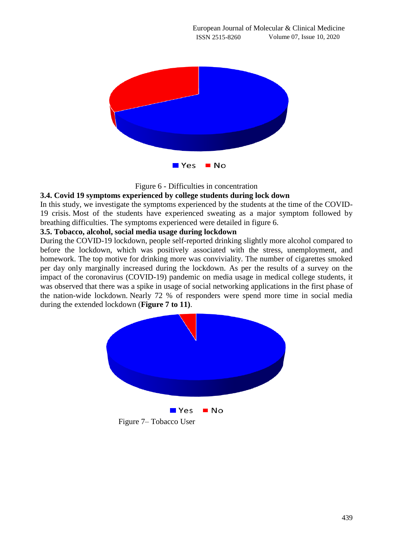

Figure 6 - Difficulties in concentration

### **3.4. Covid 19 symptoms experienced by college students during lock down**

In this study, we investigate the symptoms experienced by the students at the time of the COVID-19 crisis. Most of the students have experienced sweating as a major symptom followed by breathing difficulties. The symptoms experienced were detailed in figure 6.

#### **3.5. Tobacco, alcohol, social media usage during lockdown**

During the COVID-19 lockdown, people self-reported drinking slightly more alcohol compared to before the lockdown, which was positively associated with the stress, unemployment, and homework. The top motive for drinking more was conviviality. The number of cigarettes smoked per day only marginally increased during the lockdown. As per the results of a survey on the impact of the coronavirus (COVID-19) pandemic on media usage in medical college students, it was observed that there was a spike in usage of social networking applications in the first phase of the nation-wide lockdown. Nearly 72 % of responders were spend more time in social media during the extended lockdown (**Figure 7 to 11)**.



Figure 7– Tobacco User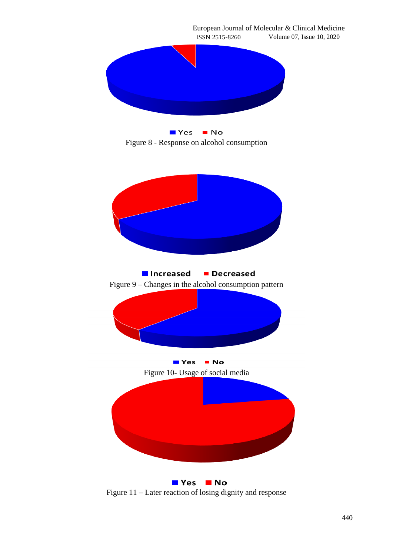

 $Yes$  No Figure 8 - Response on alcohol consumption



**es**  $**W**$  **No** Figure 11 – Later reaction of losing dignity and response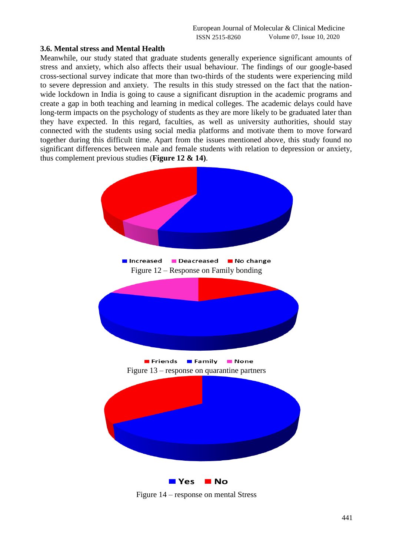#### **3.6. Mental stress and Mental Health**

Meanwhile, our study stated that graduate students generally experience significant amounts of stress and anxiety, which also affects their usual behaviour. The findings of our google-based cross-sectional survey indicate that more than two-thirds of the students were experiencing mild to severe depression and anxiety. The results in this study stressed on the fact that the nationwide lockdown in India is going to cause a significant disruption in the academic programs and create a gap in both teaching and learning in medical colleges. The academic delays could have long-term impacts on the psychology of students as they are more likely to be graduated later than they have expected. In this regard, faculties, as well as university authorities, should stay connected with the students using social media platforms and motivate them to move forward together during this difficult time. Apart from the issues mentioned above, this study found no significant differences between male and female students with relation to depression or anxiety, thus complement previous studies (**Figure 12 & 14)**.



Figure 14 – response on mental Stress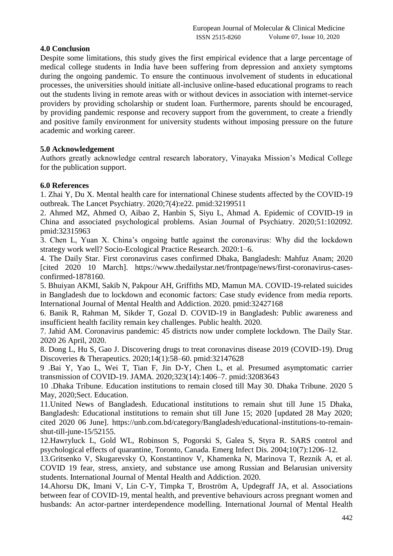#### **4.0 Conclusion**

Despite some limitations, this study gives the first empirical evidence that a large percentage of medical college students in India have been suffering from depression and anxiety symptoms during the ongoing pandemic. To ensure the continuous involvement of students in educational processes, the universities should initiate all-inclusive online-based educational programs to reach out the students living in remote areas with or without devices in association with internet-service providers by providing scholarship or student loan. Furthermore, parents should be encouraged, by providing pandemic response and recovery support from the government, to create a friendly and positive family environment for university students without imposing pressure on the future academic and working career.

### **5.0 Acknowledgement**

Authors greatly acknowledge central research laboratory, Vinayaka Mission's Medical College for the publication support.

### **6.0 References**

1. Zhai Y, Du X. Mental health care for international Chinese students affected by the COVID-19 outbreak. The Lancet Psychiatry. 2020;7(4):e22. pmid:32199511

2. Ahmed MZ, Ahmed O, Aibao Z, Hanbin S, Siyu L, Ahmad A. Epidemic of COVID-19 in China and associated psychological problems. Asian Journal of Psychiatry. 2020;51:102092. pmid:32315963

3. Chen L, Yuan X. China's ongoing battle against the coronavirus: Why did the lockdown strategy work well? Socio-Ecological Practice Research. 2020:1–6.

4. The Daily Star. First coronavirus cases confirmed Dhaka, Bangladesh: Mahfuz Anam; 2020 [cited 2020 10 March]. https://www.thedailystar.net/frontpage/news/first-coronavirus-casesconfirmed-1878160.

5. Bhuiyan AKMI, Sakib N, Pakpour AH, Griffiths MD, Mamun MA. COVID-19-related suicides in Bangladesh due to lockdown and economic factors: Case study evidence from media reports. International Journal of Mental Health and Addiction. 2020. pmid:32427168

6. Banik R, Rahman M, Sikder T, Gozal D. COVID-19 in Bangladesh: Public awareness and insufficient health facility remain key challenges. Public health. 2020.

7. Jahid AM. Coronavirus pandemic: 45 districts now under complete lockdown. The Daily Star. 2020 26 April, 2020.

8. Dong L, Hu S, Gao J. Discovering drugs to treat coronavirus disease 2019 (COVID-19). Drug Discoveries & Therapeutics. 2020;14(1):58–60. pmid:32147628

9 .Bai Y, Yao L, Wei T, Tian F, Jin D-Y, Chen L, et al. Presumed asymptomatic carrier transmission of COVID-19. JAMA. 2020;323(14):1406–7. pmid:32083643

10 .Dhaka Tribune. Education institutions to remain closed till May 30. Dhaka Tribune. 2020 5 May, 2020;Sect. Education.

11.United News of Bangladesh. Educational institutions to remain shut till June 15 Dhaka, Bangladesh: Educational institutions to remain shut till June 15; 2020 [updated 28 May 2020; cited 2020 06 June]. https://unb.com.bd/category/Bangladesh/educational-institutions-to-remainshut-till-june-15/52155.

12.Hawryluck L, Gold WL, Robinson S, Pogorski S, Galea S, Styra R. SARS control and psychological effects of quarantine, Toronto, Canada. Emerg Infect Dis. 2004;10(7):1206–12.

13.Gritsenko V, Skugarevsky O, Konstantinov V, Khamenka N, Marinova T, Reznik A, et al. COVID 19 fear, stress, anxiety, and substance use among Russian and Belarusian university students. International Journal of Mental Health and Addiction. 2020.

14.Ahorsu DK, Imani V, Lin C-Y, Timpka T, Broström A, Updegraff JA, et al. Associations between fear of COVID-19, mental health, and preventive behaviours across pregnant women and husbands: An actor-partner interdependence modelling. International Journal of Mental Health